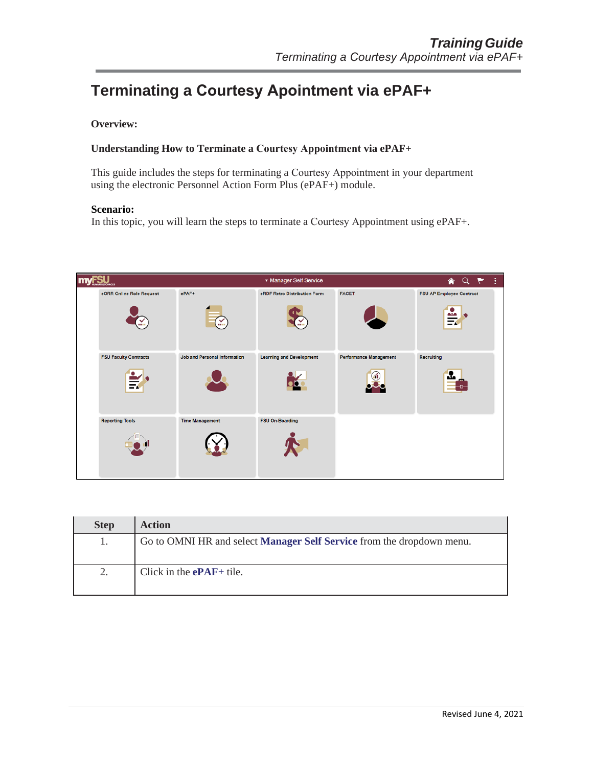## **Terminating a Courtesy Apointment via ePAF+**

## **Overview:**

## **Understanding How to Terminate a Courtesy Appointment via ePAF+**

This guide includes the steps for terminating a Courtesy Appointment in your department using the electronic Personnel Action Form Plus (ePAF+) module.

## **Scenario:**

In this topic, you will learn the steps to terminate a Courtesy Appointment using ePAF+.



| <b>Step</b> | <b>Action</b>                                                                |
|-------------|------------------------------------------------------------------------------|
|             | Go to OMNI HR and select <b>Manager Self Service</b> from the dropdown menu. |
| 2.          | Click in the $ePAF+$ tile.                                                   |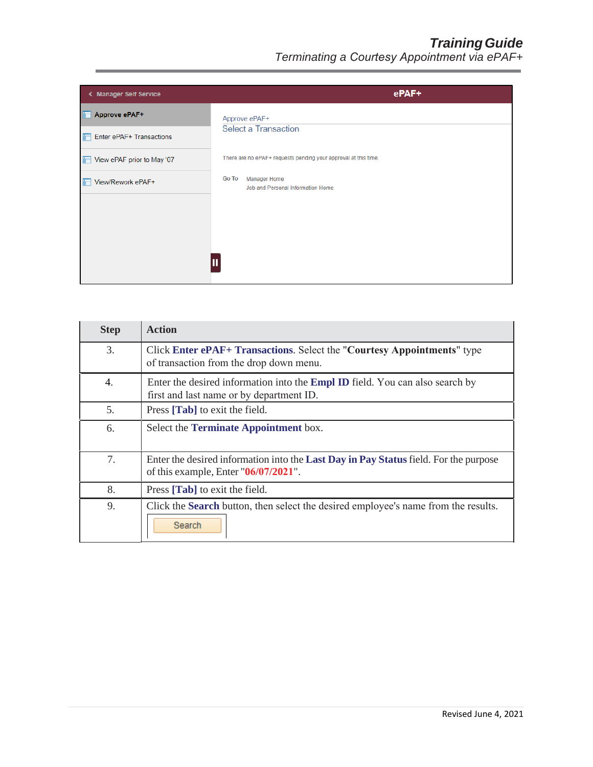| < Manager Self Service     | ePAF+                                                                    |
|----------------------------|--------------------------------------------------------------------------|
| Approve ePAF+<br>Ħ         | Approve ePAF+                                                            |
| Enter ePAF+ Transactions   | <b>Select a Transaction</b>                                              |
| View ePAF prior to May '07 | There are no ePAF+ requests pending your approval at this time.          |
| View/Rework ePAF+          | <b>Go To</b><br><b>Manager Home</b><br>Job and Personal Information Home |
|                            |                                                                          |
|                            |                                                                          |

| <b>Step</b> | <b>Action</b>                                                                                                                          |
|-------------|----------------------------------------------------------------------------------------------------------------------------------------|
| 3.          | Click Enter ePAF+ Transactions. Select the "Courtesy Appointments" type<br>of transaction from the drop down menu.                     |
| 4.          | Enter the desired information into the Empl ID field. You can also search by<br>first and last name or by department ID.               |
| 5.          | Press [Tab] to exit the field.                                                                                                         |
| 6.          | Select the <b>Terminate Appointment</b> box.                                                                                           |
| 7.          | Enter the desired information into the <b>Last Day in Pay Status</b> field. For the purpose<br>of this example, Enter $"06/07/2021"$ . |
| 8.          | Press [ <b>Tab</b> ] to exit the field.                                                                                                |
| 9.          | Click the <b>Search</b> button, then select the desired employee's name from the results.<br>Search                                    |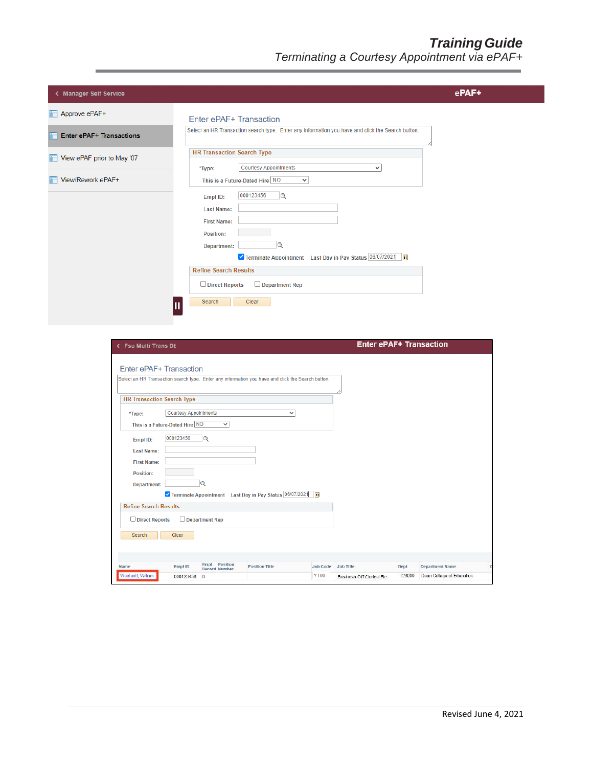| < Manager Self Service          |                                                                                                                                                                                                                                                                              | ePAF+ |
|---------------------------------|------------------------------------------------------------------------------------------------------------------------------------------------------------------------------------------------------------------------------------------------------------------------------|-------|
| Approve ePAF+                   | Enter ePAF+ Transaction                                                                                                                                                                                                                                                      |       |
| <b>Enter ePAF+ Transactions</b> | Select an HR Transaction search type. Enter any information you have and click the Search button.                                                                                                                                                                            |       |
| View ePAF prior to May '07      | <b>HR Transaction Search Type</b><br><b>Courtesy Appointments</b><br>$\checkmark$                                                                                                                                                                                            |       |
| View/Rework ePAF+               | *Type:<br>This is a Future-Dated Hire NO<br>$\checkmark$                                                                                                                                                                                                                     |       |
|                                 | 000123456<br>Q<br>Empl ID:<br><b>Last Name:</b><br><b>First Name:</b><br>Position:<br>Q<br>Department:<br>V Terminate Appointment Last Day in Pay Status 06/07/2021   3<br><b>Refine Search Results</b><br>$\Box$ Direct Reports<br>$\Box$ Department Rep<br>Clear<br>Search |       |

| <b>Fsu Multi Trans Dt</b>                                                                         |                                |              |                                  |                                                                |                 | <b>Enter ePAF+ Transaction</b> |        |                           |  |
|---------------------------------------------------------------------------------------------------|--------------------------------|--------------|----------------------------------|----------------------------------------------------------------|-----------------|--------------------------------|--------|---------------------------|--|
|                                                                                                   |                                |              |                                  |                                                                |                 |                                |        |                           |  |
| Enter ePAF+ Transaction                                                                           |                                |              |                                  |                                                                |                 |                                |        |                           |  |
| Select an HR Transaction search type. Enter any information you have and click the Search button. |                                |              |                                  |                                                                |                 |                                |        |                           |  |
| <b>HR Transaction Search Type</b>                                                                 |                                |              |                                  |                                                                |                 |                                |        |                           |  |
| *Type:                                                                                            | <b>Courtesy Appointments</b>   |              |                                  |                                                                | $\checkmark$    |                                |        |                           |  |
|                                                                                                   | This is a Future-Dated Hire NO |              | $\checkmark$                     |                                                                |                 |                                |        |                           |  |
| Empl ID:                                                                                          | 000123456                      | $\mathbf Q$  |                                  |                                                                |                 |                                |        |                           |  |
| <b>Last Name:</b>                                                                                 |                                |              |                                  |                                                                |                 |                                |        |                           |  |
| <b>First Name:</b>                                                                                |                                |              |                                  |                                                                |                 |                                |        |                           |  |
| Position:                                                                                         |                                |              |                                  |                                                                |                 |                                |        |                           |  |
| Department:                                                                                       |                                | $\alpha$     |                                  |                                                                |                 |                                |        |                           |  |
|                                                                                                   |                                |              |                                  | V Terminate Appointment Last Day in Pay Status 06/07/2021   in |                 |                                |        |                           |  |
| <b>Refine Search Results</b>                                                                      |                                |              |                                  |                                                                |                 |                                |        |                           |  |
| $\Box$ Direct Reports                                                                             | $\Box$ Department Rep          |              |                                  |                                                                |                 |                                |        |                           |  |
| Search                                                                                            | Clear                          |              |                                  |                                                                |                 |                                |        |                           |  |
|                                                                                                   |                                |              |                                  |                                                                |                 |                                |        |                           |  |
|                                                                                                   |                                |              |                                  |                                                                |                 |                                |        |                           |  |
| Name                                                                                              | Empl ID                        | Empl         | Position<br><b>Record Number</b> | <b>Position Title</b>                                          | <b>Job Code</b> | <b>Job Title</b>               | Dept   | <b>Department Name</b>    |  |
| Westcott, William                                                                                 | 000123456                      | $\mathbf{0}$ |                                  |                                                                | <b>YT00</b>     | Business Off Clerical Etc.     | 123000 | Dean College of Education |  |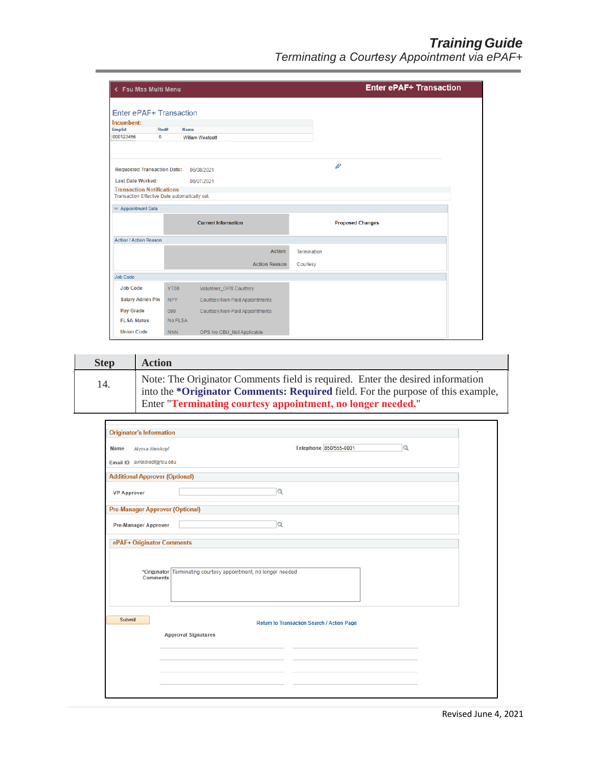|                                        | < Fsu Mss Multi Menu                          |                                |                    | <b>Enter ePAF+ Transaction</b> |
|----------------------------------------|-----------------------------------------------|--------------------------------|--------------------|--------------------------------|
|                                        |                                               |                                |                    |                                |
|                                        | Enter ePAF+ Transaction                       |                                |                    |                                |
| Incumbent:                             |                                               |                                |                    |                                |
| Emplid                                 | Rcd#<br>$\mathbf 0$                           | Name                           |                    |                                |
| 000123456                              |                                               | <b>William Westcott</b>        |                    |                                |
|                                        | <b>Requested Transaction Date:</b>            | 06/08/2021                     |                    | P                              |
| <b>Last Date Worked:</b>               |                                               | 06/07/2021                     |                    |                                |
| <b>Transaction Notifications</b>       | Transaction Effective Date automatically set. |                                |                    |                                |
| $\blacktriangleright$ Appointment Data |                                               |                                |                    |                                |
|                                        |                                               | <b>Current Information</b>     |                    | <b>Proposed Changes</b>        |
|                                        |                                               |                                |                    |                                |
| <b>Action / Action Reason</b>          |                                               |                                |                    |                                |
|                                        |                                               | <b>Action</b>                  | <b>Termination</b> |                                |
|                                        |                                               | <b>Action Reason</b>           | Courtesy           |                                |
| <b>Job Code</b>                        |                                               |                                |                    |                                |
| <b>Job Code</b>                        | YT00                                          | Volunteer_OPS Courtesy         |                    |                                |
| <b>Salary Admin PIn</b>                | <b>NPY</b>                                    | Courtesy/Non-Paid Appointments |                    |                                |
| Pay Grade                              | 099                                           | Courtesy/Non-Paid Appointments |                    |                                |
| <b>FI SA Status</b>                    | No FLSA                                       |                                |                    |                                |

| <b>Step</b> | <b>Action</b>                                                                                                                                                                                                                    |
|-------------|----------------------------------------------------------------------------------------------------------------------------------------------------------------------------------------------------------------------------------|
| 14.         | Note: The Originator Comments field is required. Enter the desired information<br>into the *Originator Comments: Required field. For the purpose of this example,<br>Enter "Terminating courtesy appointment, no longer needed." |

| <b>Originator's Information</b>        |                                                                          |
|----------------------------------------|--------------------------------------------------------------------------|
| Alyssa Weiskopf<br>Name                | Telephone 850/555-0001<br>Q                                              |
| Email ID aweiskopf@fsu.edu             |                                                                          |
| <b>Additional Approver (Optional)</b>  |                                                                          |
| <b>VP Approver</b>                     | $\Omega$                                                                 |
| <b>Pre-Manager Approver (Optional)</b> |                                                                          |
| Pre-Manager Approver                   | Q                                                                        |
| ePAF+ Originator Comments              |                                                                          |
| Comments                               | *Originator Terminating courtesy appointment, no longer needed           |
| Submit                                 | Return to Transaction Search / Action Page<br><b>Approval Signatures</b> |
|                                        |                                                                          |
|                                        |                                                                          |
|                                        |                                                                          |
|                                        |                                                                          |